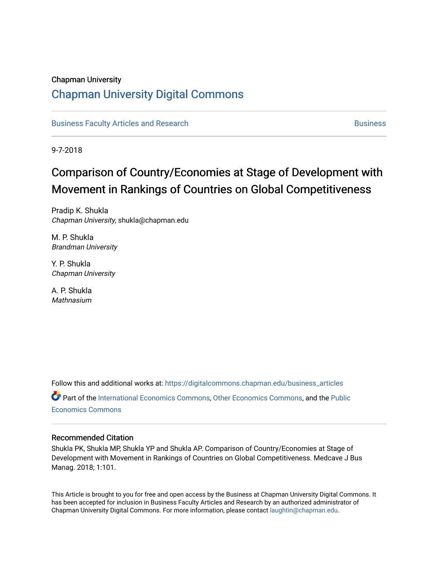# Chapman University [Chapman University Digital Commons](https://digitalcommons.chapman.edu/)

[Business Faculty Articles and Research](https://digitalcommons.chapman.edu/business_articles) [Business](https://digitalcommons.chapman.edu/business) **Business** Business

9-7-2018

# Comparison of Country/Economies at Stage of Development with Movement in Rankings of Countries on Global Competitiveness

Pradip K. Shukla Chapman University, shukla@chapman.edu

M. P. Shukla Brandman University

Y. P. Shukla Chapman University

A. P. Shukla **Mathnasium** 

Follow this and additional works at: [https://digitalcommons.chapman.edu/business\\_articles](https://digitalcommons.chapman.edu/business_articles?utm_source=digitalcommons.chapman.edu%2Fbusiness_articles%2F69&utm_medium=PDF&utm_campaign=PDFCoverPages)  Part of the [International Economics Commons,](http://network.bepress.com/hgg/discipline/348?utm_source=digitalcommons.chapman.edu%2Fbusiness_articles%2F69&utm_medium=PDF&utm_campaign=PDFCoverPages) [Other Economics Commons,](http://network.bepress.com/hgg/discipline/353?utm_source=digitalcommons.chapman.edu%2Fbusiness_articles%2F69&utm_medium=PDF&utm_campaign=PDFCoverPages) and the [Public](http://network.bepress.com/hgg/discipline/351?utm_source=digitalcommons.chapman.edu%2Fbusiness_articles%2F69&utm_medium=PDF&utm_campaign=PDFCoverPages) [Economics Commons](http://network.bepress.com/hgg/discipline/351?utm_source=digitalcommons.chapman.edu%2Fbusiness_articles%2F69&utm_medium=PDF&utm_campaign=PDFCoverPages) 

### Recommended Citation

Shukla PK, Shukla MP, Shukla YP and Shukla AP. Comparison of Country/Economies at Stage of Development with Movement in Rankings of Countries on Global Competitiveness. Medcave J Bus Manag. 2018; 1:101.

This Article is brought to you for free and open access by the Business at Chapman University Digital Commons. It has been accepted for inclusion in Business Faculty Articles and Research by an authorized administrator of Chapman University Digital Commons. For more information, please contact [laughtin@chapman.edu](mailto:laughtin@chapman.edu).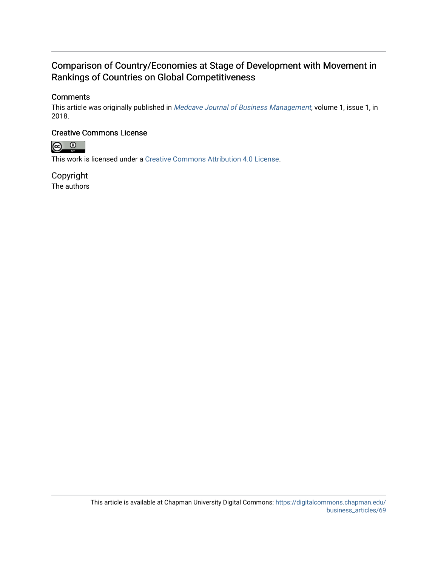## Comparison of Country/Economies at Stage of Development with Movement in Rankings of Countries on Global Competitiveness

## **Comments**

This article was originally published in [Medcave Journal of Business Management](http://medcavepublications.org/journals/current-issues.php?title=medcave-journal-of-business-management#tab1), volume 1, issue 1, in 2018.

### Creative Commons License



This work is licensed under a [Creative Commons Attribution 4.0 License](https://creativecommons.org/licenses/by/4.0/).

Copyright The authors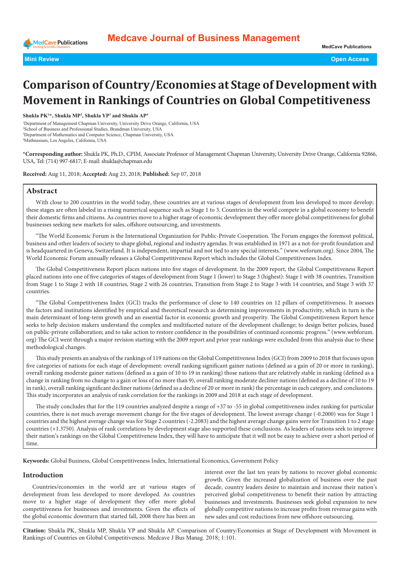

# **Comparison of Country/Economies at Stage of Development with Movement in Rankings of Countries on Global Competitiveness**

**Shukla PK1 \*, Shukla MP2 , Shukla YP3 and Shukla AP4**

 Department of Management Chapman University, University Drive Orange, California, USA School of Business and Professional Studies, Brandman University, USA Department of Mathematics and Computer Science, Chapman University, USA Mathnasium, Los Angeles, California, USA

**\*Corresponding author:** Shukla PK, Ph.D., CPIM, Associate Professor of Management Chapman University, University Drive Orange, California 92866, USA, Tel: (714) 997-6817; E-mail: shukla@chapman.edu

**Received:** Aug 11, 2018; **Accepted:** Aug 23, 2018; **Published:** Sep 07, 2018

#### **Abstract**

With close to 200 countries in the world today, these countries are at various stages of development from less developed to more develop; these stages are often labeled in a rising numerical sequence such as Stage 1 to 3. Countries in the world compete in a global economy to benefit their domestic firms and citizens. As countries move to a higher stage of economic development they offer more global competitiveness for global businesses seeking new markets for sales, offshore outsourcing, and investments.

"The World Economic Forum is the International Organization for Public-Private Cooperation. The Forum engages the foremost political, business and other leaders of society to shape global, regional and industry agendas. It was established in 1971 as a not-for-profit foundation and is headquartered in Geneva, Switzerland. It is independent, impartial and not tied to any special interests." ([www.weforum.org](http://www.weforum.org)). Since 2004, The World Economic Forum annually releases a Global Competitiveness Report which includes the Global Competitiveness Index.

The Global Competitiveness Report places nations into five stages of development. In the 2009 report, the Global Competitiveness Report placed nations into one of five categories of stages of development from Stage 1 (lower) to Stage 3 (highest): Stage 1 with 38 countries, Transition from Stage 1 to Stage 2 with 18 countries, Stage 2 with 26 countries, Transition from Stage 2 to Stage 3 with 14 countries, and Stage 3 with 37 countries.

"The Global Competitiveness Index (GCI) tracks the performance of close to 140 countries on 12 pillars of competitiveness. It assesses the factors and institutions identified by empirical and theoretical research as determining improvements in productivity, which in turn is the main determinant of long-term growth and an essential factor in economic growth and prosperity. The Global Competitiveness Report hence seeks to help decision makers understand the complex and multifaceted nature of the development challenge; to design better policies, based on public-private collaboration; and to take action to restore confidence in the possibilities of continued economic progress." ([www.webforum.](http://www.webforum.org) [org](http://www.webforum.org)) The GCI went through a major revision starting with the 2009 report and prior year rankings were excluded from this analysis due to these methodological changes.

This study presents an analysis of the rankings of 119 nations on the Global Competitiveness Index (GCI) from 2009 to 2018 that focuses upon five categories of nations for each stage of development: overall ranking significant gainer nations (defined as a gain of 20 or more in ranking), overall ranking moderate gainer nations (defined as a gain of 10 to 19 in ranking) those nations that are relatively stable in ranking (defined as a change in ranking from no change to a gain or loss of no more than 9), overall ranking moderate decliner nations (defined as a decline of 10 to 19 in rank), overall ranking significant decliner nations (defined as a decline of 20 or more in rank) the percentage in each category, and conclusions. This study incorporates an analysis of rank correlation for the rankings in 2009 and 2018 at each stage of development.

The study concludes that for the 119 countries analyzed despite a range of +37 to -55 in global competitiveness index ranking for particular countries, there is not much average movement change for the five stages of development. The lowest average change (-0.2000) was for Stage 1 countries and the highest average change was for Stage 2 countries (-2.2083) and the highest average change gains were for Transition 1 to 2 stage countries (+1.3750). Analysis of rank correlations by development stage also supported these conclusions. As leaders of nations seek to improve their nation's rankings on the Global Competitiveness Index, they will have to anticipate that it will not be easy to achieve over a short period of time.

**Keywords:** Global Business, Global Competitiveness Index, International Economics, Government Policy

#### **Introduction**

Countries/economies in the world are at various stages of development from less developed to more developed. As countries move to a higher stage of development they offer more global competitiveness for businesses and investments. Given the effects of the global economic downturn that started fall, 2008 there has been an

interest over the last ten years by nations to recover global economic growth. Given the increased globalization of business over the past decade, country leaders desire to maintain and increase their nation's perceived global competitiveness to benefit their nation by attracting businesses and investments. Businesses seek global expansion to new globally competitive nations to increase profits from revenue gains with new sales and cost reductions from new offshore outsourcing.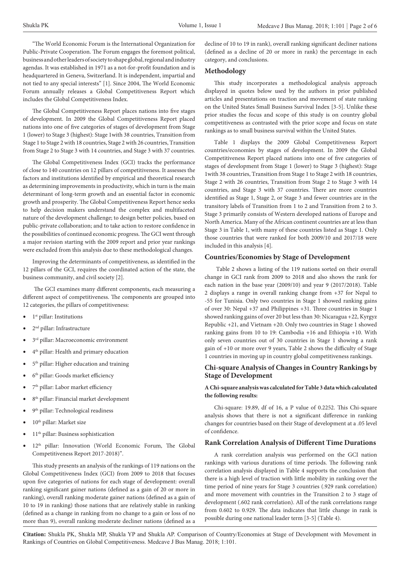"The World Economic Forum is the International Organization for Public-Private Cooperation. The Forum engages the foremost political, business and other leaders of society to shape global, regional and industry agendas. It was established in 1971 as a not-for-profit foundation and is headquartered in Geneva, Switzerland. It is independent, impartial and not tied to any special interests" [1]. Since 2004, The World Economic Forum annually releases a Global Competitiveness Report which includes the Global Competitiveness Index.

The Global Competitiveness Report places nations into five stages of development. In 2009 the Global Competitiveness Report placed nations into one of five categories of stages of development from Stage 1 (lower) to Stage 3 (highest): Stage 1with 38 countries, Transition from Stage 1 to Stage 2 with 18 countries, Stage 2 with 26 countries, Transition from Stage 2 to Stage 3 with 14 countries, and Stage 3 with 37 countries.

The Global Competitiveness Index (GCI) tracks the performance of close to 140 countries on 12 pillars of competitiveness. It assesses the factors and institutions identified by empirical and theoretical research as determining improvements in productivity, which in turn is the main determinant of long-term growth and an essential factor in economic growth and prosperity. The Global Competitiveness Report hence seeks to help decision makers understand the complex and multifaceted nature of the development challenge; to design better policies, based on public-private collaboration; and to take action to restore confidence in the possibilities of continued economic progress. The GCI went through a major revision starting with the 2009 report and prior year rankings were excluded from this analysis due to these methodological changes.

Improving the determinants of competitiveness, as identified in the 12 pillars of the GCI, requires the coordinated action of the state, the business community, and civil society [2].

 The GCI examines many different components, each measuring a different aspect of competitiveness. The components are grouped into 12 categories, the pillars of competitiveness:

- 1<sup>st</sup> pillar: Institutions
- 2<sup>nd</sup> pillar: Infrastructure
- 3<sup>rd</sup> pillar: Macroeconomic environment
- 4th pillar: Health and primary education
- 5<sup>th</sup> pillar: Higher education and training
- 6<sup>th</sup> pillar: Goods market efficiency
- 7<sup>th</sup> pillar: Labor market efficiency
- 8<sup>th</sup> pillar: Financial market development
- 9<sup>th</sup> pillar: Technological readiness
- 10<sup>th</sup> pillar: Market size
- 11th pillar: Business sophistication
- 12<sup>th</sup> pillar: Innovation (World Economic Forum, The Global Competitiveness Report 2017-2018)".

This study presents an analysis of the rankings of 119 nations on the Global Competitiveness Index (GCI) from 2009 to 2018 that focuses upon five categories of nations for each stage of development: overall ranking significant gainer nations (defined as a gain of 20 or more in ranking), overall ranking moderate gainer nations (defined as a gain of 10 to 19 in ranking) those nations that are relatively stable in ranking (defined as a change in ranking from no change to a gain or loss of no more than 9), overall ranking moderate decliner nations (defined as a

decline of 10 to 19 in rank), overall ranking significant decliner nations (defined as a decline of 20 or more in rank) the percentage in each category, and conclusions.

#### **Methodology**

This study incorporates a methodological analysis approach displayed in quotes below used by the authors in prior published articles and presentations on traction and movement of state ranking on the United States Small Business Survival Index [3-5]. Unlike these prior studies the focus and scope of this study is on country global competitiveness as contrasted with the prior scope and focus on state rankings as to small business survival within the United States.

Table 1 displays the 2009 Global Competitiveness Report countries/economies by stages of development. In 2009 the Global Competitiveness Report placed nations into one of five categories of stages of development from Stage 1 (lower) to Stage 3 (highest): Stage 1with 38 countries, Transition from Stage 1 to Stage 2 with 18 countries, Stage 2 with 26 countries, Transition from Stage 2 to Stage 3 with 14 countries, and Stage 3 with 37 countries. There are more countries identified as Stage 1, Stage 2, or Stage 3 and fewer countries are in the transitory labels of Transition from 1 to 2 and Transition from 2 to 3. Stage 3 primarily consists of Western developed nations of Europe and North America. Many of the African continent countries are at less than Stage 3 in Table 1, with many of these countries listed as Stage 1. Only those countries that were ranked for both 2009/10 and 2017/18 were included in this analysis [4].

#### **Countries/Economies by Stage of Development**

 Table 2 shows a listing of the 119 nations sorted on their overall change in GCI rank from 2009 to 2018 and also shows the rank for each nation in the base year (2009/10) and year 9 (2017/2018). Table 2 displays a range in overall ranking change from +37 for Nepal to -55 for Tunisia. Only two countries in Stage 1 showed ranking gains of over 30: Nepal +37 and Philippines +31. Three countries in Stage 1 showed ranking gains of over 20 but less than 30: Nicaragua +22, Kyrgyz Republic +21, and Vietnam +20. Only two countries in Stage 1 showed ranking gains from 10 to 19: Cambodia +16 and Ethiopia +10. With only seven countries out of 30 countries in Stage 1 showing a rank gain of +10 or more over 9 years, Table 2 shows the difficulty of Stage 1 countries in moving up in country global competitiveness rankings.

#### **Chi-square Analysis of Changes in Country Rankings by Stage of Development**

#### **A Chi-square analysis was calculated for Table 3 data which calculated the following results:**

Chi-square: 19.89, df of 16, a P value of 0.2252. This Chi-square analysis shows that there is not a significant difference in ranking changes for countries based on their Stage of development at a .05 level of confidence.

#### **Rank Correlation Analysis of Different Time Durations**

A rank correlation analysis was performed on the GCI nation rankings with various durations of time periods. The following rank correlation analysis displayed in Table 4 supports the conclusion that there is a high level of traction with little mobility in ranking over the time period of nine years for Stage 3 countries (.929 rank correlation) and more movement with countries in the Transition 2 to 3 stage of development (.602 rank correlation). All of the rank correlations range from 0.602 to 0.929. The data indicates that little change in rank is possible during one national leader term [3-5] (Table 4).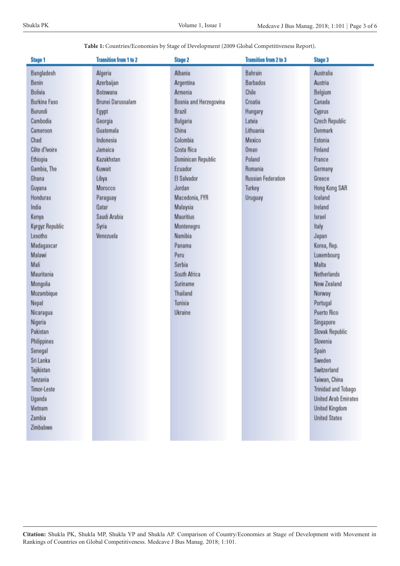**Table 1:** Countries/Economies by Stage of Development (2009 Global Competitiveness Report).

| Stage 1             | <b>Transition from 1 to 2</b> | <b>Stage 2</b>         | <b>Transition from 2 to 3</b> | <b>Stage 3</b>              |
|---------------------|-------------------------------|------------------------|-------------------------------|-----------------------------|
| Bangladesh          | Algeria                       | Albania                | Bahrain                       | Australia                   |
| Benin               | Azerbaijan                    | Argentina              | <b>Barbados</b>               | Austria                     |
| <b>Bolivia</b>      | Botswana                      | Armenia                | Chile                         | Belgium                     |
| <b>Burkina Faso</b> | <b>Brunei Darussalam</b>      | Bosnia and Herzegovina | Croatia                       | Canada                      |
| Burundi             | Egypt                         | Brazil                 | Hungary                       | Cyprus                      |
| Cambodia            | Georgia                       | Bulgaria               | Latvia                        | <b>Czech Republic</b>       |
| Cameroon            | Guatemala                     | China                  | Lithuania                     | Denmark                     |
| Chad                | Indonesia                     | Colombia               | Mexico                        | Estonia                     |
| Côte d'Ivoire       | Jamaica                       | Costa Rica             | Oman                          | Finland                     |
| Ethiopia            | Kazakhstan                    | Dominican Republic     | Poland                        | France                      |
| Gambia, The         | Kuwait                        | Ecuador                | Romania                       | Germany                     |
| Ghana               | Libya                         | El Salvador            | <b>Russian Federation</b>     | Greece                      |
| Guyana              | Morocco                       | Jordan                 | Turkey                        | Hong Kong SAR               |
| Honduras            | Paraguay                      | Macedonia, FYR         | Uruguay                       | Iceland                     |
| India               | Qatar                         | Malaysia               |                               | Ireland                     |
| Kenya               | Saudi Arabia                  | <b>Mauritius</b>       |                               | Israel                      |
| Kyrgyz Republic     | Syria                         | Montenegro             |                               | Italy                       |
| Lesotho             | Venezuela                     | Namibia                |                               | Japan                       |
| Madagascar          |                               | Panama                 |                               | Korea, Rep.                 |
| Malawi              |                               | Peru                   |                               | Luxembourg                  |
| Mali                |                               | Serbia                 |                               | Malta                       |
| Mauritania          |                               | South Africa           |                               | <b>Netherlands</b>          |
| Mongolia            |                               | Suriname               |                               | New Zealand                 |
| Mozambique          |                               | Thailand               |                               | Norway                      |
| Nepal               |                               | Tunisia                |                               | Portugal                    |
| Nicaragua           |                               | Ukraine                |                               | <b>Puerto Rico</b>          |
| Nigeria             |                               |                        |                               | Singapore                   |
| Pakistan            |                               |                        |                               | <b>Slovak Republic</b>      |
| Philippines         |                               |                        |                               | Slovenia                    |
| Senegal             |                               |                        |                               | Spain                       |
| Sri Lanka           |                               |                        |                               | Sweden                      |
| Tajikistan          |                               |                        |                               | Switzerland                 |
| Tanzania            |                               |                        |                               | Taiwan, China               |
| <b>Timor-Leste</b>  |                               |                        |                               | <b>Trinidad and Tobago</b>  |
| Uganda              |                               |                        |                               | <b>United Arab Emirates</b> |
| Vietnam             |                               |                        |                               | <b>United Kingdom</b>       |
| Zambia              |                               |                        |                               | <b>United States</b>        |
| Zimbabwe            |                               |                        |                               |                             |
|                     |                               |                        |                               |                             |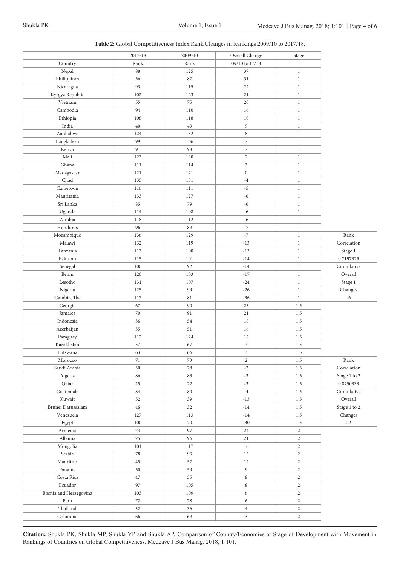|  | Table 2: Global Competitiveness Index Rank Changes in Rankings 2009/10 to 2017/18. |  |  |  |  |
|--|------------------------------------------------------------------------------------|--|--|--|--|
|--|------------------------------------------------------------------------------------|--|--|--|--|

|                        | 2017-18 | 2009-10 | Overall Change           | Stage          |                      |
|------------------------|---------|---------|--------------------------|----------------|----------------------|
| Country                | Rank    | Rank    | 09/10 to 17/18           |                |                      |
| Nepal                  | 88      | 125     | 37                       | $\mathbf{1}$   |                      |
| Philippines            | 56      | 87      | 31                       | $\,1$          |                      |
| Nicaragua              | 93      | 115     | 22                       | $\,1$          |                      |
| Kyrgyz Republic        | 102     | 123     | 21                       | $\,1$          |                      |
| Vietnam                | 55      | $75\,$  | 20                       | $\,1$          |                      |
| Cambodia               | 94      | 110     | 16                       | $\,1$          |                      |
| Ethiopia               | 108     | 118     | $10\,$                   | $\,1$          |                      |
| India                  | 40      | 49      | 9                        | $\,1$          |                      |
| Zimbabwe               | 124     | 132     | 8                        | $\mathbf{1}$   |                      |
| Bangladesh             | 99      | 106     | $\overline{\phantom{a}}$ | $\,1$          |                      |
| Kenya                  | 91      | 98      | $\overline{7}$           | $\,1$          |                      |
| $\operatorname{Mali}$  | 123     | 130     | $\overline{7}$           | $\,1$          |                      |
| Ghana                  | 111     | 114     | $\overline{\mathbf{3}}$  | $\,1$          |                      |
| Madagascar             | 121     | 121     | $\boldsymbol{0}$         | $\,1$          |                      |
| Chad                   | 135     | 131     | $^{\rm -4}$              | $\,1$          |                      |
| Cameroon               | 116     | 111     | $-5$                     | $\,1$          |                      |
| Mauritania             | 133     | 127     | $-6$                     | $\mathbf{1}$   |                      |
| Sri Lanka              | 85      | 79      |                          | $\,1$          |                      |
|                        |         |         | $-6$                     |                |                      |
| Uganda                 | 114     | 108     | $-6$                     | $\,1$          |                      |
| Zambia                 | 118     | 112     | $-6$                     | $\,1$          |                      |
| Honduras               | 96      | 89      | $^{\circ}7$              | $\,1$          |                      |
| Mozambique             | 136     | 129     | $^{\rm -7}$              | $\,1$          | Rank                 |
| Malawi                 | 132     | 119     | $-13$                    | $\,1$          | Correlation          |
| Tanzania               | 113     | 100     | $\mbox{-}13$             | $\,1$          | Stage 1              |
| Pakistan               | 115     | 101     | $-14$                    | $\,1$          | 0.7197325            |
| Senegal                | 106     | 92      | $-14$                    | $\mathbf{1}$   | Cumulative           |
| Benin                  | 120     | 103     | $-17$                    | $\,1$          | Overall              |
| Lesotho                | 131     | 107     | $-24$                    | $\,1$          | Stage 1              |
| Nigeria                | 125     | 99      | $-26$                    | $\,1$          | Changes              |
| Gambia, The            | 117     | 81      | $-36$                    | $\,1$          | $-6$                 |
| Georgia                | 67      | 90      | 23                       | 1.5            |                      |
| Jamaica                | 70      | 91      | 21                       | 1.5            |                      |
| Indonesia              | 36      | 54      | 18                       | 1.5            |                      |
| Azerbaijan             | 35      | 51      | 16                       | 1.5            |                      |
| Paraguay               | 112     | 124     | 12                       | $1.5\,$        |                      |
| Kazakhstan             | 57      | 67      | $10\,$                   | 1.5            |                      |
| Botswana               | 63      | 66      | 3                        | 1.5            |                      |
| Morocco                | $71\,$  | $73\,$  | $\mathbf{2}$             | 1.5            | $\rm Rank$           |
| Saudi Arabia           | $30\,$  | 28      | $-2$                     | $1.5\,$        | $\mbox{Correlation}$ |
| Algeria                | 86      | 83      | $-3$                     | $1.5\,$        | Stage 1 to 2         |
| Qatar                  | 25      | 22      | $-3$                     | 1.5            | 0.8750333            |
| Guatemala              | 84      | 80      | $-4$                     | $1.5\,$        | Cumulative           |
| Kuwait                 | 52      | 39      | $-13$                    | 1.5            | $\mbox{Overall}$     |
| Brunei Darussalam      | 46      | 32      | $-14$                    | 1.5            | Stage 1 to 2         |
| Venezuela              | 127     | 113     | $-14$                    | 1.5            | Changes              |
| Egypt                  | 100     | 70      | $-30$                    | 1.5            | $22\,$               |
| Armenia                | 73      | 97      | 24                       | $\sqrt{2}$     |                      |
| Albania                | 75      | 96      | 21                       | $\overline{2}$ |                      |
| Mongolia               | 101     | 117     | 16                       | $\overline{2}$ |                      |
| Serbia                 | $78\,$  | 93      | 15                       | $\sqrt{2}$     |                      |
| ${\it Mauritius}$      | 45      | 57      | 12                       | $\overline{2}$ |                      |
| Panama                 | 50      | 59      | 9                        | $\sqrt{2}$     |                      |
| Costa Rica             | 47      | 55      | $\,8\,$                  | $\sqrt{2}$     |                      |
| Ecuador                | 97      | 105     | 8                        | $\overline{2}$ |                      |
| Bosnia and Herzegovina | 103     | 109     | 6                        | $\sqrt{2}$     |                      |
| Peru                   | 72      | 78      | 6                        | $\overline{2}$ |                      |
| $\!$                   | 32      | 36      | $\overline{4}$           | $\sqrt{2}$     |                      |
| Colombia               | 66      | 69      | $\mathfrak{Z}$           | $\overline{2}$ |                      |
|                        |         |         |                          |                |                      |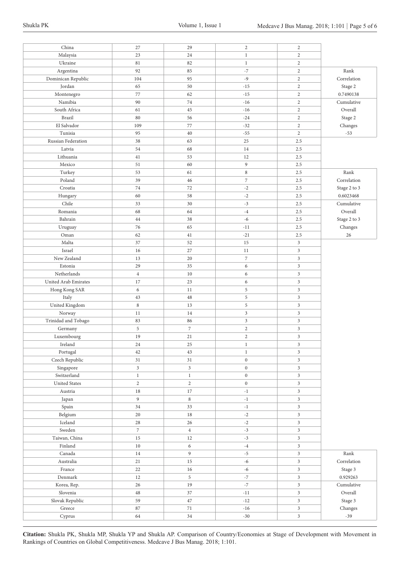| Malaysia<br>23<br>24<br>$\mathbf{2}$<br>$\mathbf{1}$<br>Ukraine<br>$\sqrt{2}$<br>81<br>82<br>$1\,$<br>92<br>85<br>$-7$<br>$\sqrt{2}$<br>Rank<br>Argentina<br>Dominican Republic<br>$-9$<br>$\sqrt{2}$<br>Correlation<br>104<br>95<br>Jordan<br>65<br>$\sqrt{2}$<br>50<br>$-15$<br>Stage 2<br>77<br>$\sqrt{2}$<br>0.7490138<br>62<br>$-15$<br>Montenegro<br>$\sqrt{2}$<br>Namibia<br>90<br>$74\,$<br>$-16$<br>Cumulative<br>South Africa<br>61<br>$-16$<br>$\sqrt{2}$<br>Overall<br>45<br><b>Brazil</b><br>$\sqrt{2}$<br>80<br>56<br>$-24$<br>Stage 2<br>El Salvador<br>77<br>$\sqrt{2}$<br>Changes<br>109<br>$-32$<br>Tunisia<br>95<br>$-55$<br>$\sqrt{2}$<br>$-53$<br>40<br>Russian Federation<br>38<br>63<br>25<br>2.5<br>Latvia<br>54<br>68<br>14<br>2.5<br>Lithuania<br>41<br>53<br>12<br>2.5<br>Mexico<br>9<br>2.5<br>51<br>60<br>$\,$ 8 $\,$<br>Rank<br>Turkey<br>53<br>61<br>2.5<br>Poland<br>39<br>$\overline{7}$<br>Correlation<br>46<br>2.5<br>74<br>Stage 2 to 3<br>Croatia<br>72<br>$-2$<br>2.5<br>60<br>$^{\rm -2}$<br>0.6023468<br>58<br>2.5<br>Hungary<br>Chile<br>Cumulative<br>33<br>30<br>$-3$<br>2.5<br>Overall<br>Romania<br>68<br>64<br>$-4$<br>2.5<br>$-6$<br>Stage 2 to 3<br>Bahrain<br>38<br>2.5<br>44<br>76<br>65<br>Changes<br>$-11$<br>2.5<br>Uruguay<br>26<br>Oman<br>62<br>41<br>$-21$<br>2.5<br>Malta<br>$\mathfrak{Z}$<br>37<br>52<br>15<br>$\mathfrak{Z}$<br>Israel<br>16<br>27<br>11<br>New Zealand<br>$\overline{7}$<br>$\mathfrak{Z}$<br>13<br>20<br>Estonia<br>29<br>35<br>6<br>$\mathfrak{Z}$<br>Netherlands<br>$\overline{4}$<br>10<br>6<br>$\mathfrak{Z}$<br>United Arab Emirates<br>17<br>23<br>$\mathfrak{Z}$<br>6<br>6<br>$\mathfrak{Z}$<br>Hong Kong SAR<br>5<br>11<br>5<br>$\mathfrak{Z}$<br>Italy<br>43<br>48<br>United Kingdom<br>$\,$ 8 $\,$<br>5<br>$\mathfrak{Z}$<br>13<br>$\mathfrak{Z}$<br>$\mathfrak{Z}$<br>Norway<br>14<br>11<br>Trinidad and Tobago<br>$\mathfrak{Z}$<br>$\mathfrak{Z}$<br>83<br>86<br>$\overline{7}$<br>$\,$ 5 $\,$<br>$\overline{2}$<br>$\mathfrak{Z}$<br>Germany<br>21<br>$\overline{2}$<br>3<br>Luxembourg<br>19<br>Ireland<br>25<br>$\mathfrak{Z}$<br>24<br>$\mathbf{1}$<br>3<br>Portugal<br>43<br>42<br>$\,1$<br>Czech Republic<br>$\boldsymbol{0}$<br>$\mathfrak{Z}$<br>31<br>31<br>$\sqrt{3}$<br>$\mathfrak{Z}$<br>$\boldsymbol{0}$<br>$\mathfrak{Z}$<br>Singapore<br>Switzerland<br>$\,1$<br>$1\,$<br>$\boldsymbol{0}$<br>$\mathfrak{Z}$<br><b>United States</b><br>$\overline{2}$<br>$\mathfrak{Z}$<br>$\overline{2}$<br>$\mathbf{0}$<br>Austria<br>$17\,$<br>$\mathfrak{Z}$<br>$18\,$<br>$-1$<br>$\overline{9}$<br>8<br>$\mathfrak{Z}$<br>Japan<br>$-1$<br>33<br>$\mathfrak{Z}$<br>Spain<br>34<br>$-1$<br>Belgium<br>$\mathfrak{Z}$<br>20<br>$18\,$<br>$\text{-}2$<br>$\mbox{I}$<br>$^{\text{{\small -2}}}$<br>$\mathfrak{Z}$<br>$28\,$<br>$26\,$<br>Sweden<br>$-3$<br>$\mathfrak{Z}$<br>$\,7$<br>$\overline{4}$<br>Taiwan, China<br>$-3$<br>$\mathfrak{Z}$<br>$15\,$<br>12<br>$\ensuremath{\mathrm{Fin}}\xspace$ land<br>$\epsilon$<br>$\mathfrak{Z}$<br>$10\,$<br>$^{\text{{\small -4}}}$<br>Canada<br>$\overline{9}$<br>$\mathfrak{Z}$<br>Rank<br>$14\,$<br>$\text{-}5$<br>$-6$<br>$\mathfrak{Z}$<br>Correlation<br>Australia<br>21<br>15<br>$-6$<br>$\mathfrak{Z}$<br>France<br>22<br>16<br>Stage 3<br>5<br>$^{\circ}7$<br>$\mathfrak{Z}$<br>$\mbox{Denmark}$<br>0.929263<br>12<br>$^{\circ}7$<br>$\mathfrak{Z}$<br>19<br>26<br>$Cumulative$<br>Korea, Rep.<br>$\mathfrak{Z}$<br>Overall<br>Slovenia<br>48<br>37<br>$-11$<br>$\mathfrak{Z}$<br>Stage 3<br>Slovak Republic<br>59<br>47<br>$\mbox{-}12$<br>${\rm Greece}$<br>$\mbox{-}16$<br>$\mathfrak{Z}$<br>Changes<br>$87\,$<br>$71\,$<br>Cyprus<br>64<br>$34\,$<br>$-30$<br>$\mathfrak{Z}$<br>$-39$ | China | 27 | 29 | $\sqrt{2}$ | $\sqrt{2}$ |  |
|---------------------------------------------------------------------------------------------------------------------------------------------------------------------------------------------------------------------------------------------------------------------------------------------------------------------------------------------------------------------------------------------------------------------------------------------------------------------------------------------------------------------------------------------------------------------------------------------------------------------------------------------------------------------------------------------------------------------------------------------------------------------------------------------------------------------------------------------------------------------------------------------------------------------------------------------------------------------------------------------------------------------------------------------------------------------------------------------------------------------------------------------------------------------------------------------------------------------------------------------------------------------------------------------------------------------------------------------------------------------------------------------------------------------------------------------------------------------------------------------------------------------------------------------------------------------------------------------------------------------------------------------------------------------------------------------------------------------------------------------------------------------------------------------------------------------------------------------------------------------------------------------------------------------------------------------------------------------------------------------------------------------------------------------------------------------------------------------------------------------------------------------------------------------------------------------------------------------------------------------------------------------------------------------------------------------------------------------------------------------------------------------------------------------------------------------------------------------------------------------------------------------------------------------------------------------------------------------------------------------------------------------------------------------------------------------------------------------------------------------------------------------------------------------------------------------------------------------------------------------------------------------------------------------------------------------------------------------------------------------------------------------------------------------------------------------------------------------------------------------------------------------------------------------------------------------------------------------------------------------------------------------------------------------------------------------------------------------------------------------------------------------------------------------------------------------------------------------------------------------------------------------------------------------------------------------------------------------------------------------------------------------------------------------------------------------------------------------------------------------|-------|----|----|------------|------------|--|
|                                                                                                                                                                                                                                                                                                                                                                                                                                                                                                                                                                                                                                                                                                                                                                                                                                                                                                                                                                                                                                                                                                                                                                                                                                                                                                                                                                                                                                                                                                                                                                                                                                                                                                                                                                                                                                                                                                                                                                                                                                                                                                                                                                                                                                                                                                                                                                                                                                                                                                                                                                                                                                                                                                                                                                                                                                                                                                                                                                                                                                                                                                                                                                                                                                                                                                                                                                                                                                                                                                                                                                                                                                                                                                                                             |       |    |    |            |            |  |
|                                                                                                                                                                                                                                                                                                                                                                                                                                                                                                                                                                                                                                                                                                                                                                                                                                                                                                                                                                                                                                                                                                                                                                                                                                                                                                                                                                                                                                                                                                                                                                                                                                                                                                                                                                                                                                                                                                                                                                                                                                                                                                                                                                                                                                                                                                                                                                                                                                                                                                                                                                                                                                                                                                                                                                                                                                                                                                                                                                                                                                                                                                                                                                                                                                                                                                                                                                                                                                                                                                                                                                                                                                                                                                                                             |       |    |    |            |            |  |
|                                                                                                                                                                                                                                                                                                                                                                                                                                                                                                                                                                                                                                                                                                                                                                                                                                                                                                                                                                                                                                                                                                                                                                                                                                                                                                                                                                                                                                                                                                                                                                                                                                                                                                                                                                                                                                                                                                                                                                                                                                                                                                                                                                                                                                                                                                                                                                                                                                                                                                                                                                                                                                                                                                                                                                                                                                                                                                                                                                                                                                                                                                                                                                                                                                                                                                                                                                                                                                                                                                                                                                                                                                                                                                                                             |       |    |    |            |            |  |
|                                                                                                                                                                                                                                                                                                                                                                                                                                                                                                                                                                                                                                                                                                                                                                                                                                                                                                                                                                                                                                                                                                                                                                                                                                                                                                                                                                                                                                                                                                                                                                                                                                                                                                                                                                                                                                                                                                                                                                                                                                                                                                                                                                                                                                                                                                                                                                                                                                                                                                                                                                                                                                                                                                                                                                                                                                                                                                                                                                                                                                                                                                                                                                                                                                                                                                                                                                                                                                                                                                                                                                                                                                                                                                                                             |       |    |    |            |            |  |
|                                                                                                                                                                                                                                                                                                                                                                                                                                                                                                                                                                                                                                                                                                                                                                                                                                                                                                                                                                                                                                                                                                                                                                                                                                                                                                                                                                                                                                                                                                                                                                                                                                                                                                                                                                                                                                                                                                                                                                                                                                                                                                                                                                                                                                                                                                                                                                                                                                                                                                                                                                                                                                                                                                                                                                                                                                                                                                                                                                                                                                                                                                                                                                                                                                                                                                                                                                                                                                                                                                                                                                                                                                                                                                                                             |       |    |    |            |            |  |
|                                                                                                                                                                                                                                                                                                                                                                                                                                                                                                                                                                                                                                                                                                                                                                                                                                                                                                                                                                                                                                                                                                                                                                                                                                                                                                                                                                                                                                                                                                                                                                                                                                                                                                                                                                                                                                                                                                                                                                                                                                                                                                                                                                                                                                                                                                                                                                                                                                                                                                                                                                                                                                                                                                                                                                                                                                                                                                                                                                                                                                                                                                                                                                                                                                                                                                                                                                                                                                                                                                                                                                                                                                                                                                                                             |       |    |    |            |            |  |
|                                                                                                                                                                                                                                                                                                                                                                                                                                                                                                                                                                                                                                                                                                                                                                                                                                                                                                                                                                                                                                                                                                                                                                                                                                                                                                                                                                                                                                                                                                                                                                                                                                                                                                                                                                                                                                                                                                                                                                                                                                                                                                                                                                                                                                                                                                                                                                                                                                                                                                                                                                                                                                                                                                                                                                                                                                                                                                                                                                                                                                                                                                                                                                                                                                                                                                                                                                                                                                                                                                                                                                                                                                                                                                                                             |       |    |    |            |            |  |
|                                                                                                                                                                                                                                                                                                                                                                                                                                                                                                                                                                                                                                                                                                                                                                                                                                                                                                                                                                                                                                                                                                                                                                                                                                                                                                                                                                                                                                                                                                                                                                                                                                                                                                                                                                                                                                                                                                                                                                                                                                                                                                                                                                                                                                                                                                                                                                                                                                                                                                                                                                                                                                                                                                                                                                                                                                                                                                                                                                                                                                                                                                                                                                                                                                                                                                                                                                                                                                                                                                                                                                                                                                                                                                                                             |       |    |    |            |            |  |
|                                                                                                                                                                                                                                                                                                                                                                                                                                                                                                                                                                                                                                                                                                                                                                                                                                                                                                                                                                                                                                                                                                                                                                                                                                                                                                                                                                                                                                                                                                                                                                                                                                                                                                                                                                                                                                                                                                                                                                                                                                                                                                                                                                                                                                                                                                                                                                                                                                                                                                                                                                                                                                                                                                                                                                                                                                                                                                                                                                                                                                                                                                                                                                                                                                                                                                                                                                                                                                                                                                                                                                                                                                                                                                                                             |       |    |    |            |            |  |
|                                                                                                                                                                                                                                                                                                                                                                                                                                                                                                                                                                                                                                                                                                                                                                                                                                                                                                                                                                                                                                                                                                                                                                                                                                                                                                                                                                                                                                                                                                                                                                                                                                                                                                                                                                                                                                                                                                                                                                                                                                                                                                                                                                                                                                                                                                                                                                                                                                                                                                                                                                                                                                                                                                                                                                                                                                                                                                                                                                                                                                                                                                                                                                                                                                                                                                                                                                                                                                                                                                                                                                                                                                                                                                                                             |       |    |    |            |            |  |
|                                                                                                                                                                                                                                                                                                                                                                                                                                                                                                                                                                                                                                                                                                                                                                                                                                                                                                                                                                                                                                                                                                                                                                                                                                                                                                                                                                                                                                                                                                                                                                                                                                                                                                                                                                                                                                                                                                                                                                                                                                                                                                                                                                                                                                                                                                                                                                                                                                                                                                                                                                                                                                                                                                                                                                                                                                                                                                                                                                                                                                                                                                                                                                                                                                                                                                                                                                                                                                                                                                                                                                                                                                                                                                                                             |       |    |    |            |            |  |
|                                                                                                                                                                                                                                                                                                                                                                                                                                                                                                                                                                                                                                                                                                                                                                                                                                                                                                                                                                                                                                                                                                                                                                                                                                                                                                                                                                                                                                                                                                                                                                                                                                                                                                                                                                                                                                                                                                                                                                                                                                                                                                                                                                                                                                                                                                                                                                                                                                                                                                                                                                                                                                                                                                                                                                                                                                                                                                                                                                                                                                                                                                                                                                                                                                                                                                                                                                                                                                                                                                                                                                                                                                                                                                                                             |       |    |    |            |            |  |
|                                                                                                                                                                                                                                                                                                                                                                                                                                                                                                                                                                                                                                                                                                                                                                                                                                                                                                                                                                                                                                                                                                                                                                                                                                                                                                                                                                                                                                                                                                                                                                                                                                                                                                                                                                                                                                                                                                                                                                                                                                                                                                                                                                                                                                                                                                                                                                                                                                                                                                                                                                                                                                                                                                                                                                                                                                                                                                                                                                                                                                                                                                                                                                                                                                                                                                                                                                                                                                                                                                                                                                                                                                                                                                                                             |       |    |    |            |            |  |
|                                                                                                                                                                                                                                                                                                                                                                                                                                                                                                                                                                                                                                                                                                                                                                                                                                                                                                                                                                                                                                                                                                                                                                                                                                                                                                                                                                                                                                                                                                                                                                                                                                                                                                                                                                                                                                                                                                                                                                                                                                                                                                                                                                                                                                                                                                                                                                                                                                                                                                                                                                                                                                                                                                                                                                                                                                                                                                                                                                                                                                                                                                                                                                                                                                                                                                                                                                                                                                                                                                                                                                                                                                                                                                                                             |       |    |    |            |            |  |
|                                                                                                                                                                                                                                                                                                                                                                                                                                                                                                                                                                                                                                                                                                                                                                                                                                                                                                                                                                                                                                                                                                                                                                                                                                                                                                                                                                                                                                                                                                                                                                                                                                                                                                                                                                                                                                                                                                                                                                                                                                                                                                                                                                                                                                                                                                                                                                                                                                                                                                                                                                                                                                                                                                                                                                                                                                                                                                                                                                                                                                                                                                                                                                                                                                                                                                                                                                                                                                                                                                                                                                                                                                                                                                                                             |       |    |    |            |            |  |
|                                                                                                                                                                                                                                                                                                                                                                                                                                                                                                                                                                                                                                                                                                                                                                                                                                                                                                                                                                                                                                                                                                                                                                                                                                                                                                                                                                                                                                                                                                                                                                                                                                                                                                                                                                                                                                                                                                                                                                                                                                                                                                                                                                                                                                                                                                                                                                                                                                                                                                                                                                                                                                                                                                                                                                                                                                                                                                                                                                                                                                                                                                                                                                                                                                                                                                                                                                                                                                                                                                                                                                                                                                                                                                                                             |       |    |    |            |            |  |
|                                                                                                                                                                                                                                                                                                                                                                                                                                                                                                                                                                                                                                                                                                                                                                                                                                                                                                                                                                                                                                                                                                                                                                                                                                                                                                                                                                                                                                                                                                                                                                                                                                                                                                                                                                                                                                                                                                                                                                                                                                                                                                                                                                                                                                                                                                                                                                                                                                                                                                                                                                                                                                                                                                                                                                                                                                                                                                                                                                                                                                                                                                                                                                                                                                                                                                                                                                                                                                                                                                                                                                                                                                                                                                                                             |       |    |    |            |            |  |
|                                                                                                                                                                                                                                                                                                                                                                                                                                                                                                                                                                                                                                                                                                                                                                                                                                                                                                                                                                                                                                                                                                                                                                                                                                                                                                                                                                                                                                                                                                                                                                                                                                                                                                                                                                                                                                                                                                                                                                                                                                                                                                                                                                                                                                                                                                                                                                                                                                                                                                                                                                                                                                                                                                                                                                                                                                                                                                                                                                                                                                                                                                                                                                                                                                                                                                                                                                                                                                                                                                                                                                                                                                                                                                                                             |       |    |    |            |            |  |
|                                                                                                                                                                                                                                                                                                                                                                                                                                                                                                                                                                                                                                                                                                                                                                                                                                                                                                                                                                                                                                                                                                                                                                                                                                                                                                                                                                                                                                                                                                                                                                                                                                                                                                                                                                                                                                                                                                                                                                                                                                                                                                                                                                                                                                                                                                                                                                                                                                                                                                                                                                                                                                                                                                                                                                                                                                                                                                                                                                                                                                                                                                                                                                                                                                                                                                                                                                                                                                                                                                                                                                                                                                                                                                                                             |       |    |    |            |            |  |
|                                                                                                                                                                                                                                                                                                                                                                                                                                                                                                                                                                                                                                                                                                                                                                                                                                                                                                                                                                                                                                                                                                                                                                                                                                                                                                                                                                                                                                                                                                                                                                                                                                                                                                                                                                                                                                                                                                                                                                                                                                                                                                                                                                                                                                                                                                                                                                                                                                                                                                                                                                                                                                                                                                                                                                                                                                                                                                                                                                                                                                                                                                                                                                                                                                                                                                                                                                                                                                                                                                                                                                                                                                                                                                                                             |       |    |    |            |            |  |
|                                                                                                                                                                                                                                                                                                                                                                                                                                                                                                                                                                                                                                                                                                                                                                                                                                                                                                                                                                                                                                                                                                                                                                                                                                                                                                                                                                                                                                                                                                                                                                                                                                                                                                                                                                                                                                                                                                                                                                                                                                                                                                                                                                                                                                                                                                                                                                                                                                                                                                                                                                                                                                                                                                                                                                                                                                                                                                                                                                                                                                                                                                                                                                                                                                                                                                                                                                                                                                                                                                                                                                                                                                                                                                                                             |       |    |    |            |            |  |
|                                                                                                                                                                                                                                                                                                                                                                                                                                                                                                                                                                                                                                                                                                                                                                                                                                                                                                                                                                                                                                                                                                                                                                                                                                                                                                                                                                                                                                                                                                                                                                                                                                                                                                                                                                                                                                                                                                                                                                                                                                                                                                                                                                                                                                                                                                                                                                                                                                                                                                                                                                                                                                                                                                                                                                                                                                                                                                                                                                                                                                                                                                                                                                                                                                                                                                                                                                                                                                                                                                                                                                                                                                                                                                                                             |       |    |    |            |            |  |
|                                                                                                                                                                                                                                                                                                                                                                                                                                                                                                                                                                                                                                                                                                                                                                                                                                                                                                                                                                                                                                                                                                                                                                                                                                                                                                                                                                                                                                                                                                                                                                                                                                                                                                                                                                                                                                                                                                                                                                                                                                                                                                                                                                                                                                                                                                                                                                                                                                                                                                                                                                                                                                                                                                                                                                                                                                                                                                                                                                                                                                                                                                                                                                                                                                                                                                                                                                                                                                                                                                                                                                                                                                                                                                                                             |       |    |    |            |            |  |
|                                                                                                                                                                                                                                                                                                                                                                                                                                                                                                                                                                                                                                                                                                                                                                                                                                                                                                                                                                                                                                                                                                                                                                                                                                                                                                                                                                                                                                                                                                                                                                                                                                                                                                                                                                                                                                                                                                                                                                                                                                                                                                                                                                                                                                                                                                                                                                                                                                                                                                                                                                                                                                                                                                                                                                                                                                                                                                                                                                                                                                                                                                                                                                                                                                                                                                                                                                                                                                                                                                                                                                                                                                                                                                                                             |       |    |    |            |            |  |
|                                                                                                                                                                                                                                                                                                                                                                                                                                                                                                                                                                                                                                                                                                                                                                                                                                                                                                                                                                                                                                                                                                                                                                                                                                                                                                                                                                                                                                                                                                                                                                                                                                                                                                                                                                                                                                                                                                                                                                                                                                                                                                                                                                                                                                                                                                                                                                                                                                                                                                                                                                                                                                                                                                                                                                                                                                                                                                                                                                                                                                                                                                                                                                                                                                                                                                                                                                                                                                                                                                                                                                                                                                                                                                                                             |       |    |    |            |            |  |
|                                                                                                                                                                                                                                                                                                                                                                                                                                                                                                                                                                                                                                                                                                                                                                                                                                                                                                                                                                                                                                                                                                                                                                                                                                                                                                                                                                                                                                                                                                                                                                                                                                                                                                                                                                                                                                                                                                                                                                                                                                                                                                                                                                                                                                                                                                                                                                                                                                                                                                                                                                                                                                                                                                                                                                                                                                                                                                                                                                                                                                                                                                                                                                                                                                                                                                                                                                                                                                                                                                                                                                                                                                                                                                                                             |       |    |    |            |            |  |
|                                                                                                                                                                                                                                                                                                                                                                                                                                                                                                                                                                                                                                                                                                                                                                                                                                                                                                                                                                                                                                                                                                                                                                                                                                                                                                                                                                                                                                                                                                                                                                                                                                                                                                                                                                                                                                                                                                                                                                                                                                                                                                                                                                                                                                                                                                                                                                                                                                                                                                                                                                                                                                                                                                                                                                                                                                                                                                                                                                                                                                                                                                                                                                                                                                                                                                                                                                                                                                                                                                                                                                                                                                                                                                                                             |       |    |    |            |            |  |
|                                                                                                                                                                                                                                                                                                                                                                                                                                                                                                                                                                                                                                                                                                                                                                                                                                                                                                                                                                                                                                                                                                                                                                                                                                                                                                                                                                                                                                                                                                                                                                                                                                                                                                                                                                                                                                                                                                                                                                                                                                                                                                                                                                                                                                                                                                                                                                                                                                                                                                                                                                                                                                                                                                                                                                                                                                                                                                                                                                                                                                                                                                                                                                                                                                                                                                                                                                                                                                                                                                                                                                                                                                                                                                                                             |       |    |    |            |            |  |
|                                                                                                                                                                                                                                                                                                                                                                                                                                                                                                                                                                                                                                                                                                                                                                                                                                                                                                                                                                                                                                                                                                                                                                                                                                                                                                                                                                                                                                                                                                                                                                                                                                                                                                                                                                                                                                                                                                                                                                                                                                                                                                                                                                                                                                                                                                                                                                                                                                                                                                                                                                                                                                                                                                                                                                                                                                                                                                                                                                                                                                                                                                                                                                                                                                                                                                                                                                                                                                                                                                                                                                                                                                                                                                                                             |       |    |    |            |            |  |
|                                                                                                                                                                                                                                                                                                                                                                                                                                                                                                                                                                                                                                                                                                                                                                                                                                                                                                                                                                                                                                                                                                                                                                                                                                                                                                                                                                                                                                                                                                                                                                                                                                                                                                                                                                                                                                                                                                                                                                                                                                                                                                                                                                                                                                                                                                                                                                                                                                                                                                                                                                                                                                                                                                                                                                                                                                                                                                                                                                                                                                                                                                                                                                                                                                                                                                                                                                                                                                                                                                                                                                                                                                                                                                                                             |       |    |    |            |            |  |
|                                                                                                                                                                                                                                                                                                                                                                                                                                                                                                                                                                                                                                                                                                                                                                                                                                                                                                                                                                                                                                                                                                                                                                                                                                                                                                                                                                                                                                                                                                                                                                                                                                                                                                                                                                                                                                                                                                                                                                                                                                                                                                                                                                                                                                                                                                                                                                                                                                                                                                                                                                                                                                                                                                                                                                                                                                                                                                                                                                                                                                                                                                                                                                                                                                                                                                                                                                                                                                                                                                                                                                                                                                                                                                                                             |       |    |    |            |            |  |
|                                                                                                                                                                                                                                                                                                                                                                                                                                                                                                                                                                                                                                                                                                                                                                                                                                                                                                                                                                                                                                                                                                                                                                                                                                                                                                                                                                                                                                                                                                                                                                                                                                                                                                                                                                                                                                                                                                                                                                                                                                                                                                                                                                                                                                                                                                                                                                                                                                                                                                                                                                                                                                                                                                                                                                                                                                                                                                                                                                                                                                                                                                                                                                                                                                                                                                                                                                                                                                                                                                                                                                                                                                                                                                                                             |       |    |    |            |            |  |
|                                                                                                                                                                                                                                                                                                                                                                                                                                                                                                                                                                                                                                                                                                                                                                                                                                                                                                                                                                                                                                                                                                                                                                                                                                                                                                                                                                                                                                                                                                                                                                                                                                                                                                                                                                                                                                                                                                                                                                                                                                                                                                                                                                                                                                                                                                                                                                                                                                                                                                                                                                                                                                                                                                                                                                                                                                                                                                                                                                                                                                                                                                                                                                                                                                                                                                                                                                                                                                                                                                                                                                                                                                                                                                                                             |       |    |    |            |            |  |
|                                                                                                                                                                                                                                                                                                                                                                                                                                                                                                                                                                                                                                                                                                                                                                                                                                                                                                                                                                                                                                                                                                                                                                                                                                                                                                                                                                                                                                                                                                                                                                                                                                                                                                                                                                                                                                                                                                                                                                                                                                                                                                                                                                                                                                                                                                                                                                                                                                                                                                                                                                                                                                                                                                                                                                                                                                                                                                                                                                                                                                                                                                                                                                                                                                                                                                                                                                                                                                                                                                                                                                                                                                                                                                                                             |       |    |    |            |            |  |
|                                                                                                                                                                                                                                                                                                                                                                                                                                                                                                                                                                                                                                                                                                                                                                                                                                                                                                                                                                                                                                                                                                                                                                                                                                                                                                                                                                                                                                                                                                                                                                                                                                                                                                                                                                                                                                                                                                                                                                                                                                                                                                                                                                                                                                                                                                                                                                                                                                                                                                                                                                                                                                                                                                                                                                                                                                                                                                                                                                                                                                                                                                                                                                                                                                                                                                                                                                                                                                                                                                                                                                                                                                                                                                                                             |       |    |    |            |            |  |
|                                                                                                                                                                                                                                                                                                                                                                                                                                                                                                                                                                                                                                                                                                                                                                                                                                                                                                                                                                                                                                                                                                                                                                                                                                                                                                                                                                                                                                                                                                                                                                                                                                                                                                                                                                                                                                                                                                                                                                                                                                                                                                                                                                                                                                                                                                                                                                                                                                                                                                                                                                                                                                                                                                                                                                                                                                                                                                                                                                                                                                                                                                                                                                                                                                                                                                                                                                                                                                                                                                                                                                                                                                                                                                                                             |       |    |    |            |            |  |
|                                                                                                                                                                                                                                                                                                                                                                                                                                                                                                                                                                                                                                                                                                                                                                                                                                                                                                                                                                                                                                                                                                                                                                                                                                                                                                                                                                                                                                                                                                                                                                                                                                                                                                                                                                                                                                                                                                                                                                                                                                                                                                                                                                                                                                                                                                                                                                                                                                                                                                                                                                                                                                                                                                                                                                                                                                                                                                                                                                                                                                                                                                                                                                                                                                                                                                                                                                                                                                                                                                                                                                                                                                                                                                                                             |       |    |    |            |            |  |
|                                                                                                                                                                                                                                                                                                                                                                                                                                                                                                                                                                                                                                                                                                                                                                                                                                                                                                                                                                                                                                                                                                                                                                                                                                                                                                                                                                                                                                                                                                                                                                                                                                                                                                                                                                                                                                                                                                                                                                                                                                                                                                                                                                                                                                                                                                                                                                                                                                                                                                                                                                                                                                                                                                                                                                                                                                                                                                                                                                                                                                                                                                                                                                                                                                                                                                                                                                                                                                                                                                                                                                                                                                                                                                                                             |       |    |    |            |            |  |
|                                                                                                                                                                                                                                                                                                                                                                                                                                                                                                                                                                                                                                                                                                                                                                                                                                                                                                                                                                                                                                                                                                                                                                                                                                                                                                                                                                                                                                                                                                                                                                                                                                                                                                                                                                                                                                                                                                                                                                                                                                                                                                                                                                                                                                                                                                                                                                                                                                                                                                                                                                                                                                                                                                                                                                                                                                                                                                                                                                                                                                                                                                                                                                                                                                                                                                                                                                                                                                                                                                                                                                                                                                                                                                                                             |       |    |    |            |            |  |
|                                                                                                                                                                                                                                                                                                                                                                                                                                                                                                                                                                                                                                                                                                                                                                                                                                                                                                                                                                                                                                                                                                                                                                                                                                                                                                                                                                                                                                                                                                                                                                                                                                                                                                                                                                                                                                                                                                                                                                                                                                                                                                                                                                                                                                                                                                                                                                                                                                                                                                                                                                                                                                                                                                                                                                                                                                                                                                                                                                                                                                                                                                                                                                                                                                                                                                                                                                                                                                                                                                                                                                                                                                                                                                                                             |       |    |    |            |            |  |
|                                                                                                                                                                                                                                                                                                                                                                                                                                                                                                                                                                                                                                                                                                                                                                                                                                                                                                                                                                                                                                                                                                                                                                                                                                                                                                                                                                                                                                                                                                                                                                                                                                                                                                                                                                                                                                                                                                                                                                                                                                                                                                                                                                                                                                                                                                                                                                                                                                                                                                                                                                                                                                                                                                                                                                                                                                                                                                                                                                                                                                                                                                                                                                                                                                                                                                                                                                                                                                                                                                                                                                                                                                                                                                                                             |       |    |    |            |            |  |
|                                                                                                                                                                                                                                                                                                                                                                                                                                                                                                                                                                                                                                                                                                                                                                                                                                                                                                                                                                                                                                                                                                                                                                                                                                                                                                                                                                                                                                                                                                                                                                                                                                                                                                                                                                                                                                                                                                                                                                                                                                                                                                                                                                                                                                                                                                                                                                                                                                                                                                                                                                                                                                                                                                                                                                                                                                                                                                                                                                                                                                                                                                                                                                                                                                                                                                                                                                                                                                                                                                                                                                                                                                                                                                                                             |       |    |    |            |            |  |
|                                                                                                                                                                                                                                                                                                                                                                                                                                                                                                                                                                                                                                                                                                                                                                                                                                                                                                                                                                                                                                                                                                                                                                                                                                                                                                                                                                                                                                                                                                                                                                                                                                                                                                                                                                                                                                                                                                                                                                                                                                                                                                                                                                                                                                                                                                                                                                                                                                                                                                                                                                                                                                                                                                                                                                                                                                                                                                                                                                                                                                                                                                                                                                                                                                                                                                                                                                                                                                                                                                                                                                                                                                                                                                                                             |       |    |    |            |            |  |
|                                                                                                                                                                                                                                                                                                                                                                                                                                                                                                                                                                                                                                                                                                                                                                                                                                                                                                                                                                                                                                                                                                                                                                                                                                                                                                                                                                                                                                                                                                                                                                                                                                                                                                                                                                                                                                                                                                                                                                                                                                                                                                                                                                                                                                                                                                                                                                                                                                                                                                                                                                                                                                                                                                                                                                                                                                                                                                                                                                                                                                                                                                                                                                                                                                                                                                                                                                                                                                                                                                                                                                                                                                                                                                                                             |       |    |    |            |            |  |
|                                                                                                                                                                                                                                                                                                                                                                                                                                                                                                                                                                                                                                                                                                                                                                                                                                                                                                                                                                                                                                                                                                                                                                                                                                                                                                                                                                                                                                                                                                                                                                                                                                                                                                                                                                                                                                                                                                                                                                                                                                                                                                                                                                                                                                                                                                                                                                                                                                                                                                                                                                                                                                                                                                                                                                                                                                                                                                                                                                                                                                                                                                                                                                                                                                                                                                                                                                                                                                                                                                                                                                                                                                                                                                                                             |       |    |    |            |            |  |
|                                                                                                                                                                                                                                                                                                                                                                                                                                                                                                                                                                                                                                                                                                                                                                                                                                                                                                                                                                                                                                                                                                                                                                                                                                                                                                                                                                                                                                                                                                                                                                                                                                                                                                                                                                                                                                                                                                                                                                                                                                                                                                                                                                                                                                                                                                                                                                                                                                                                                                                                                                                                                                                                                                                                                                                                                                                                                                                                                                                                                                                                                                                                                                                                                                                                                                                                                                                                                                                                                                                                                                                                                                                                                                                                             |       |    |    |            |            |  |
|                                                                                                                                                                                                                                                                                                                                                                                                                                                                                                                                                                                                                                                                                                                                                                                                                                                                                                                                                                                                                                                                                                                                                                                                                                                                                                                                                                                                                                                                                                                                                                                                                                                                                                                                                                                                                                                                                                                                                                                                                                                                                                                                                                                                                                                                                                                                                                                                                                                                                                                                                                                                                                                                                                                                                                                                                                                                                                                                                                                                                                                                                                                                                                                                                                                                                                                                                                                                                                                                                                                                                                                                                                                                                                                                             |       |    |    |            |            |  |
|                                                                                                                                                                                                                                                                                                                                                                                                                                                                                                                                                                                                                                                                                                                                                                                                                                                                                                                                                                                                                                                                                                                                                                                                                                                                                                                                                                                                                                                                                                                                                                                                                                                                                                                                                                                                                                                                                                                                                                                                                                                                                                                                                                                                                                                                                                                                                                                                                                                                                                                                                                                                                                                                                                                                                                                                                                                                                                                                                                                                                                                                                                                                                                                                                                                                                                                                                                                                                                                                                                                                                                                                                                                                                                                                             |       |    |    |            |            |  |
|                                                                                                                                                                                                                                                                                                                                                                                                                                                                                                                                                                                                                                                                                                                                                                                                                                                                                                                                                                                                                                                                                                                                                                                                                                                                                                                                                                                                                                                                                                                                                                                                                                                                                                                                                                                                                                                                                                                                                                                                                                                                                                                                                                                                                                                                                                                                                                                                                                                                                                                                                                                                                                                                                                                                                                                                                                                                                                                                                                                                                                                                                                                                                                                                                                                                                                                                                                                                                                                                                                                                                                                                                                                                                                                                             |       |    |    |            |            |  |
|                                                                                                                                                                                                                                                                                                                                                                                                                                                                                                                                                                                                                                                                                                                                                                                                                                                                                                                                                                                                                                                                                                                                                                                                                                                                                                                                                                                                                                                                                                                                                                                                                                                                                                                                                                                                                                                                                                                                                                                                                                                                                                                                                                                                                                                                                                                                                                                                                                                                                                                                                                                                                                                                                                                                                                                                                                                                                                                                                                                                                                                                                                                                                                                                                                                                                                                                                                                                                                                                                                                                                                                                                                                                                                                                             |       |    |    |            |            |  |
|                                                                                                                                                                                                                                                                                                                                                                                                                                                                                                                                                                                                                                                                                                                                                                                                                                                                                                                                                                                                                                                                                                                                                                                                                                                                                                                                                                                                                                                                                                                                                                                                                                                                                                                                                                                                                                                                                                                                                                                                                                                                                                                                                                                                                                                                                                                                                                                                                                                                                                                                                                                                                                                                                                                                                                                                                                                                                                                                                                                                                                                                                                                                                                                                                                                                                                                                                                                                                                                                                                                                                                                                                                                                                                                                             |       |    |    |            |            |  |
|                                                                                                                                                                                                                                                                                                                                                                                                                                                                                                                                                                                                                                                                                                                                                                                                                                                                                                                                                                                                                                                                                                                                                                                                                                                                                                                                                                                                                                                                                                                                                                                                                                                                                                                                                                                                                                                                                                                                                                                                                                                                                                                                                                                                                                                                                                                                                                                                                                                                                                                                                                                                                                                                                                                                                                                                                                                                                                                                                                                                                                                                                                                                                                                                                                                                                                                                                                                                                                                                                                                                                                                                                                                                                                                                             |       |    |    |            |            |  |
|                                                                                                                                                                                                                                                                                                                                                                                                                                                                                                                                                                                                                                                                                                                                                                                                                                                                                                                                                                                                                                                                                                                                                                                                                                                                                                                                                                                                                                                                                                                                                                                                                                                                                                                                                                                                                                                                                                                                                                                                                                                                                                                                                                                                                                                                                                                                                                                                                                                                                                                                                                                                                                                                                                                                                                                                                                                                                                                                                                                                                                                                                                                                                                                                                                                                                                                                                                                                                                                                                                                                                                                                                                                                                                                                             |       |    |    |            |            |  |
|                                                                                                                                                                                                                                                                                                                                                                                                                                                                                                                                                                                                                                                                                                                                                                                                                                                                                                                                                                                                                                                                                                                                                                                                                                                                                                                                                                                                                                                                                                                                                                                                                                                                                                                                                                                                                                                                                                                                                                                                                                                                                                                                                                                                                                                                                                                                                                                                                                                                                                                                                                                                                                                                                                                                                                                                                                                                                                                                                                                                                                                                                                                                                                                                                                                                                                                                                                                                                                                                                                                                                                                                                                                                                                                                             |       |    |    |            |            |  |
|                                                                                                                                                                                                                                                                                                                                                                                                                                                                                                                                                                                                                                                                                                                                                                                                                                                                                                                                                                                                                                                                                                                                                                                                                                                                                                                                                                                                                                                                                                                                                                                                                                                                                                                                                                                                                                                                                                                                                                                                                                                                                                                                                                                                                                                                                                                                                                                                                                                                                                                                                                                                                                                                                                                                                                                                                                                                                                                                                                                                                                                                                                                                                                                                                                                                                                                                                                                                                                                                                                                                                                                                                                                                                                                                             |       |    |    |            |            |  |
|                                                                                                                                                                                                                                                                                                                                                                                                                                                                                                                                                                                                                                                                                                                                                                                                                                                                                                                                                                                                                                                                                                                                                                                                                                                                                                                                                                                                                                                                                                                                                                                                                                                                                                                                                                                                                                                                                                                                                                                                                                                                                                                                                                                                                                                                                                                                                                                                                                                                                                                                                                                                                                                                                                                                                                                                                                                                                                                                                                                                                                                                                                                                                                                                                                                                                                                                                                                                                                                                                                                                                                                                                                                                                                                                             |       |    |    |            |            |  |
|                                                                                                                                                                                                                                                                                                                                                                                                                                                                                                                                                                                                                                                                                                                                                                                                                                                                                                                                                                                                                                                                                                                                                                                                                                                                                                                                                                                                                                                                                                                                                                                                                                                                                                                                                                                                                                                                                                                                                                                                                                                                                                                                                                                                                                                                                                                                                                                                                                                                                                                                                                                                                                                                                                                                                                                                                                                                                                                                                                                                                                                                                                                                                                                                                                                                                                                                                                                                                                                                                                                                                                                                                                                                                                                                             |       |    |    |            |            |  |
|                                                                                                                                                                                                                                                                                                                                                                                                                                                                                                                                                                                                                                                                                                                                                                                                                                                                                                                                                                                                                                                                                                                                                                                                                                                                                                                                                                                                                                                                                                                                                                                                                                                                                                                                                                                                                                                                                                                                                                                                                                                                                                                                                                                                                                                                                                                                                                                                                                                                                                                                                                                                                                                                                                                                                                                                                                                                                                                                                                                                                                                                                                                                                                                                                                                                                                                                                                                                                                                                                                                                                                                                                                                                                                                                             |       |    |    |            |            |  |
|                                                                                                                                                                                                                                                                                                                                                                                                                                                                                                                                                                                                                                                                                                                                                                                                                                                                                                                                                                                                                                                                                                                                                                                                                                                                                                                                                                                                                                                                                                                                                                                                                                                                                                                                                                                                                                                                                                                                                                                                                                                                                                                                                                                                                                                                                                                                                                                                                                                                                                                                                                                                                                                                                                                                                                                                                                                                                                                                                                                                                                                                                                                                                                                                                                                                                                                                                                                                                                                                                                                                                                                                                                                                                                                                             |       |    |    |            |            |  |
|                                                                                                                                                                                                                                                                                                                                                                                                                                                                                                                                                                                                                                                                                                                                                                                                                                                                                                                                                                                                                                                                                                                                                                                                                                                                                                                                                                                                                                                                                                                                                                                                                                                                                                                                                                                                                                                                                                                                                                                                                                                                                                                                                                                                                                                                                                                                                                                                                                                                                                                                                                                                                                                                                                                                                                                                                                                                                                                                                                                                                                                                                                                                                                                                                                                                                                                                                                                                                                                                                                                                                                                                                                                                                                                                             |       |    |    |            |            |  |
|                                                                                                                                                                                                                                                                                                                                                                                                                                                                                                                                                                                                                                                                                                                                                                                                                                                                                                                                                                                                                                                                                                                                                                                                                                                                                                                                                                                                                                                                                                                                                                                                                                                                                                                                                                                                                                                                                                                                                                                                                                                                                                                                                                                                                                                                                                                                                                                                                                                                                                                                                                                                                                                                                                                                                                                                                                                                                                                                                                                                                                                                                                                                                                                                                                                                                                                                                                                                                                                                                                                                                                                                                                                                                                                                             |       |    |    |            |            |  |
|                                                                                                                                                                                                                                                                                                                                                                                                                                                                                                                                                                                                                                                                                                                                                                                                                                                                                                                                                                                                                                                                                                                                                                                                                                                                                                                                                                                                                                                                                                                                                                                                                                                                                                                                                                                                                                                                                                                                                                                                                                                                                                                                                                                                                                                                                                                                                                                                                                                                                                                                                                                                                                                                                                                                                                                                                                                                                                                                                                                                                                                                                                                                                                                                                                                                                                                                                                                                                                                                                                                                                                                                                                                                                                                                             |       |    |    |            |            |  |